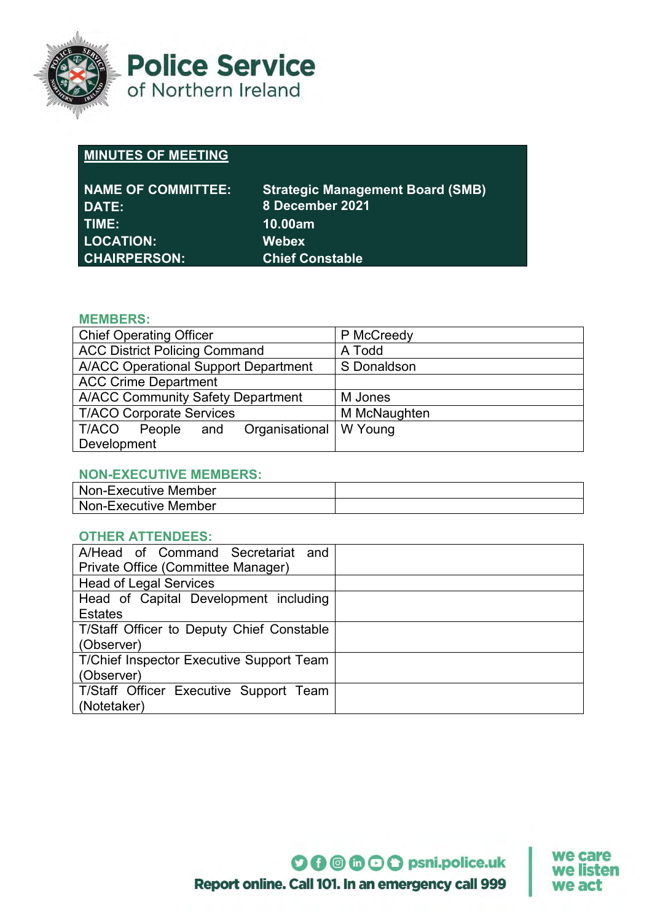

**Police Service** of Northern Ireland

# **MINUTES OF MEETING**

| NAME OF COMMITTEE:<br>DATE: | <b>Strategic Management Board (SMB)</b><br>8 December 2021 |
|-----------------------------|------------------------------------------------------------|
| TIME:                       | 10.00am                                                    |
| <b>LOCATION:</b>            | <b>Webex</b>                                               |
| <b>CHAIRPERSON:</b>         | <b>Chief Constable</b>                                     |

# **MEMBERS:**

| <b>Chief Operating Officer</b>                  | P McCreedy   |
|-------------------------------------------------|--------------|
| <b>ACC District Policing Command</b>            | A Todd       |
| <b>A/ACC Operational Support Department</b>     | S Donaldson  |
| <b>ACC Crime Department</b>                     |              |
| <b>A/ACC Community Safety Department</b>        | M Jones      |
| <b>T/ACO Corporate Services</b>                 | M McNaughten |
| Organisational   W Young<br>T/ACO<br>People and |              |
| Development                                     |              |

## **NON-EXECUTIVE MEMBERS:**

| Non-Executive Member |  |
|----------------------|--|
| Non-Executive Member |  |

## **OTHER ATTENDEES:**

| A/Head of Command Secretariat and               |  |
|-------------------------------------------------|--|
| Private Office (Committee Manager)              |  |
| <b>Head of Legal Services</b>                   |  |
| Head of Capital Development including           |  |
| <b>Estates</b>                                  |  |
| T/Staff Officer to Deputy Chief Constable       |  |
| (Observer)                                      |  |
| <b>T/Chief Inspector Executive Support Team</b> |  |
| (Observer)                                      |  |
| T/Staff Officer Executive Support Team          |  |
| (Notetaker)                                     |  |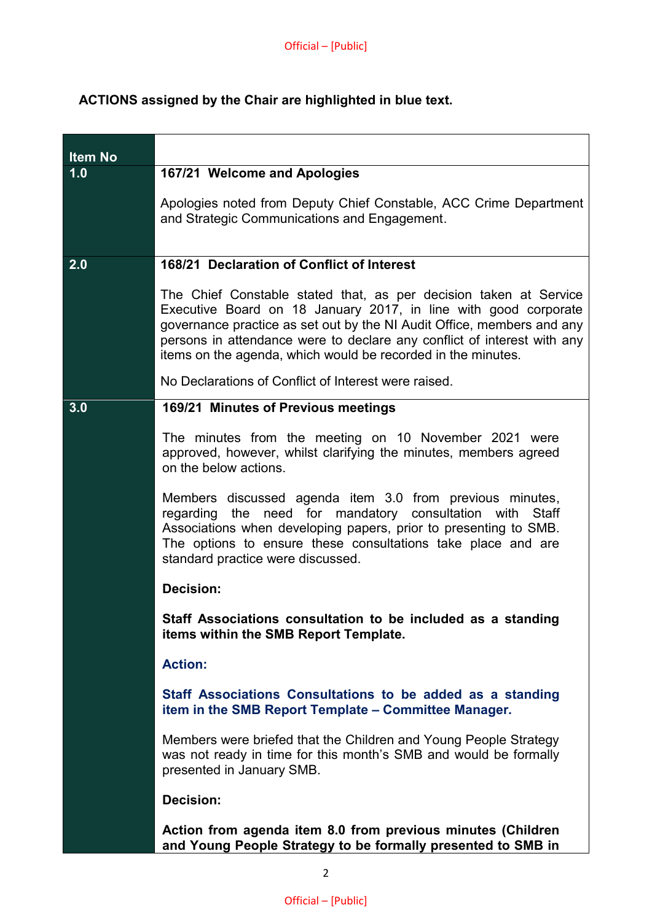# **ACTIONS assigned by the Chair are highlighted in blue text.**

| <b>Item No</b> |                                                                                                                                                                                                                                                                                                                                                           |
|----------------|-----------------------------------------------------------------------------------------------------------------------------------------------------------------------------------------------------------------------------------------------------------------------------------------------------------------------------------------------------------|
| 1.0            | 167/21 Welcome and Apologies                                                                                                                                                                                                                                                                                                                              |
|                | Apologies noted from Deputy Chief Constable, ACC Crime Department<br>and Strategic Communications and Engagement.                                                                                                                                                                                                                                         |
| 2.0            | 168/21 Declaration of Conflict of Interest                                                                                                                                                                                                                                                                                                                |
|                | The Chief Constable stated that, as per decision taken at Service<br>Executive Board on 18 January 2017, in line with good corporate<br>governance practice as set out by the NI Audit Office, members and any<br>persons in attendance were to declare any conflict of interest with any<br>items on the agenda, which would be recorded in the minutes. |
|                | No Declarations of Conflict of Interest were raised.                                                                                                                                                                                                                                                                                                      |
| 3.0            | 169/21 Minutes of Previous meetings                                                                                                                                                                                                                                                                                                                       |
|                | The minutes from the meeting on 10 November 2021 were<br>approved, however, whilst clarifying the minutes, members agreed<br>on the below actions.<br>Members discussed agenda item 3.0 from previous minutes,                                                                                                                                            |
|                | regarding the need for mandatory consultation with<br><b>Staff</b><br>Associations when developing papers, prior to presenting to SMB.<br>The options to ensure these consultations take place and are<br>standard practice were discussed.                                                                                                               |
|                | <b>Decision:</b>                                                                                                                                                                                                                                                                                                                                          |
|                | Staff Associations consultation to be included as a standing<br>items within the SMB Report Template.                                                                                                                                                                                                                                                     |
|                | <b>Action:</b>                                                                                                                                                                                                                                                                                                                                            |
|                | Staff Associations Consultations to be added as a standing<br>item in the SMB Report Template - Committee Manager.                                                                                                                                                                                                                                        |
|                | Members were briefed that the Children and Young People Strategy<br>was not ready in time for this month's SMB and would be formally<br>presented in January SMB.                                                                                                                                                                                         |
|                | <b>Decision:</b>                                                                                                                                                                                                                                                                                                                                          |
|                | Action from agenda item 8.0 from previous minutes (Children<br>and Young People Strategy to be formally presented to SMB in                                                                                                                                                                                                                               |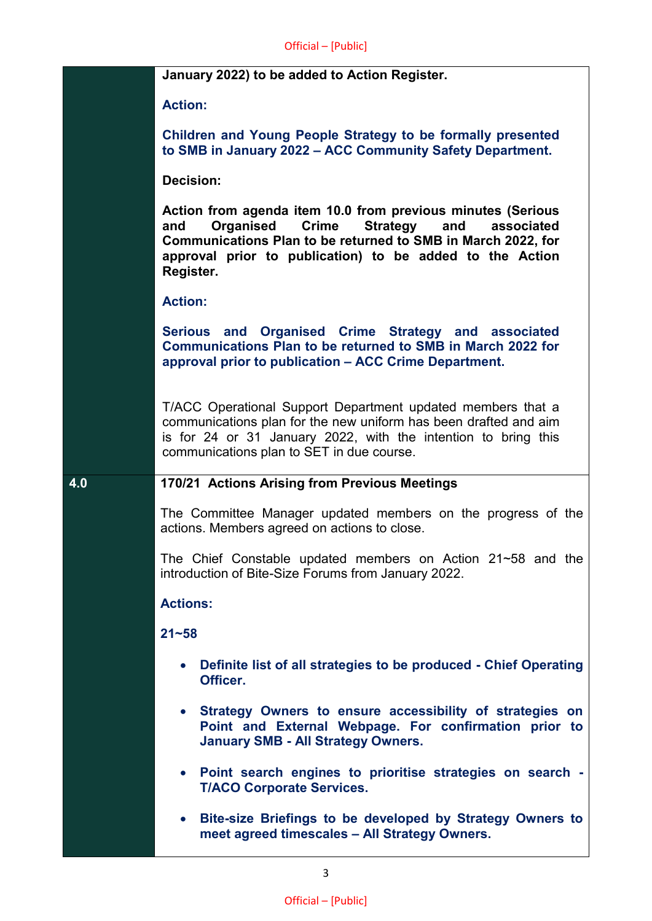## **January 2022) to be added to Action Register.**

**Action:**

**Children and Young People Strategy to be formally presented to SMB in January 2022 – ACC Community Safety Department.**

**Decision:**

**Action from agenda item 10.0 from previous minutes (Serious and Organised Crime Strategy and associated Communications Plan to be returned to SMB in March 2022, for approval prior to publication) to be added to the Action Register.**

## **Action:**

**Serious and Organised Crime Strategy and associated Communications Plan to be returned to SMB in March 2022 for approval prior to publication – ACC Crime Department.**

T/ACC Operational Support Department updated members that a communications plan for the new uniform has been drafted and aim is for 24 or 31 January 2022, with the intention to bring this communications plan to SET in due course.

## **4.0 170/21 Actions Arising from Previous Meetings**

The Committee Manager updated members on the progress of the actions. Members agreed on actions to close.

The Chief Constable updated members on Action 21~58 and the introduction of Bite-Size Forums from January 2022.

## **Actions:**

**21~58** 

- **Definite list of all strategies to be produced - Chief Operating Officer.**
- **Strategy Owners to ensure accessibility of strategies on Point and External Webpage. For confirmation prior to January SMB - All Strategy Owners.**
- **Point search engines to prioritise strategies on search - T/ACO Corporate Services.**
- **Bite-size Briefings to be developed by Strategy Owners to meet agreed timescales – All Strategy Owners.**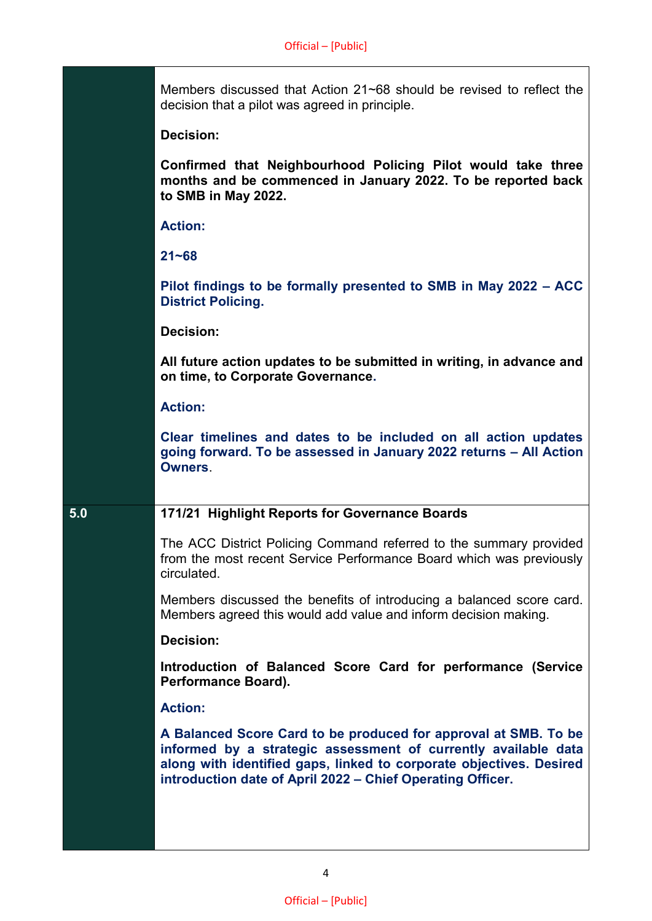Members discussed that Action 21~68 should be revised to reflect the decision that a pilot was agreed in principle.

#### **Decision:**

**Confirmed that Neighbourhood Policing Pilot would take three months and be commenced in January 2022. To be reported back to SMB in May 2022.**

#### **Action:**

**21~68** 

**Pilot findings to be formally presented to SMB in May 2022 – ACC District Policing.**

#### **Decision:**

**All future action updates to be submitted in writing, in advance and on time, to Corporate Governance.**

#### **Action:**

**Clear timelines and dates to be included on all action updates going forward. To be assessed in January 2022 returns – All Action Owners**.

## **5.0 171/21 Highlight Reports for Governance Boards**

The ACC District Policing Command referred to the summary provided from the most recent Service Performance Board which was previously circulated.

Members discussed the benefits of introducing a balanced score card. Members agreed this would add value and inform decision making.

#### **Decision:**

**Introduction of Balanced Score Card for performance (Service Performance Board).**

#### **Action:**

**A Balanced Score Card to be produced for approval at SMB. To be informed by a strategic assessment of currently available data along with identified gaps, linked to corporate objectives. Desired introduction date of April 2022 – Chief Operating Officer.**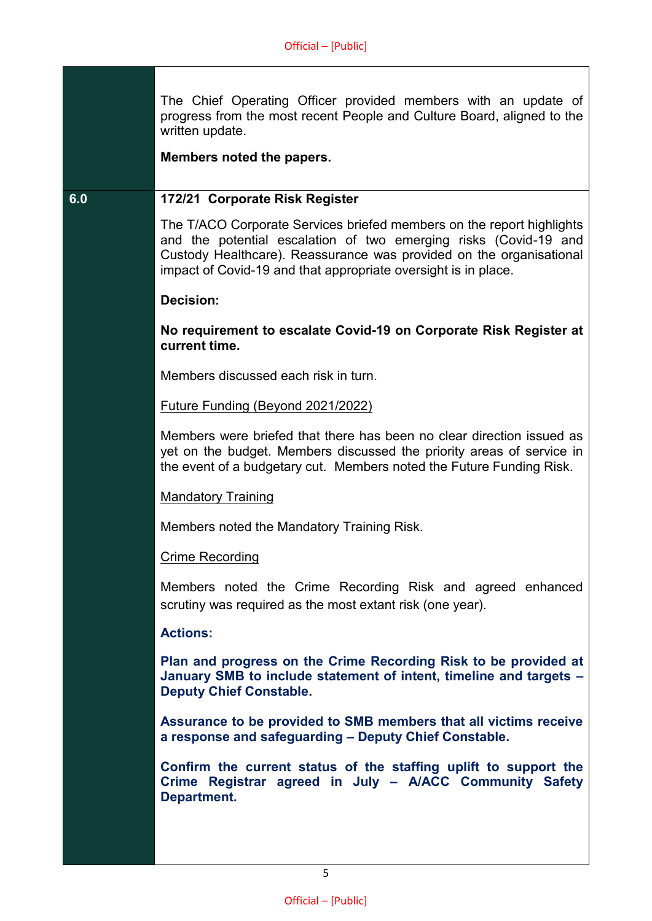The Chief Operating Officer provided members with an update of progress from the most recent People and Culture Board, aligned to the written update.

**Members noted the papers.**

## **6.0 172/21 Corporate Risk Register**

The T/ACO Corporate Services briefed members on the report highlights and the potential escalation of two emerging risks (Covid-19 and Custody Healthcare). Reassurance was provided on the organisational impact of Covid-19 and that appropriate oversight is in place.

## **Decision:**

**No requirement to escalate Covid-19 on Corporate Risk Register at current time.**

Members discussed each risk in turn.

## Future Funding (Beyond 2021/2022)

Members were briefed that there has been no clear direction issued as yet on the budget. Members discussed the priority areas of service in the event of a budgetary cut. Members noted the Future Funding Risk.

## Mandatory Training

Members noted the Mandatory Training Risk.

#### Crime Recording

Members noted the Crime Recording Risk and agreed enhanced scrutiny was required as the most extant risk (one year).

## **Actions:**

**Plan and progress on the Crime Recording Risk to be provided at January SMB to include statement of intent, timeline and targets – Deputy Chief Constable.**

**Assurance to be provided to SMB members that all victims receive a response and safeguarding – Deputy Chief Constable.**

**Confirm the current status of the staffing uplift to support the Crime Registrar agreed in July – A/ACC Community Safety Department.**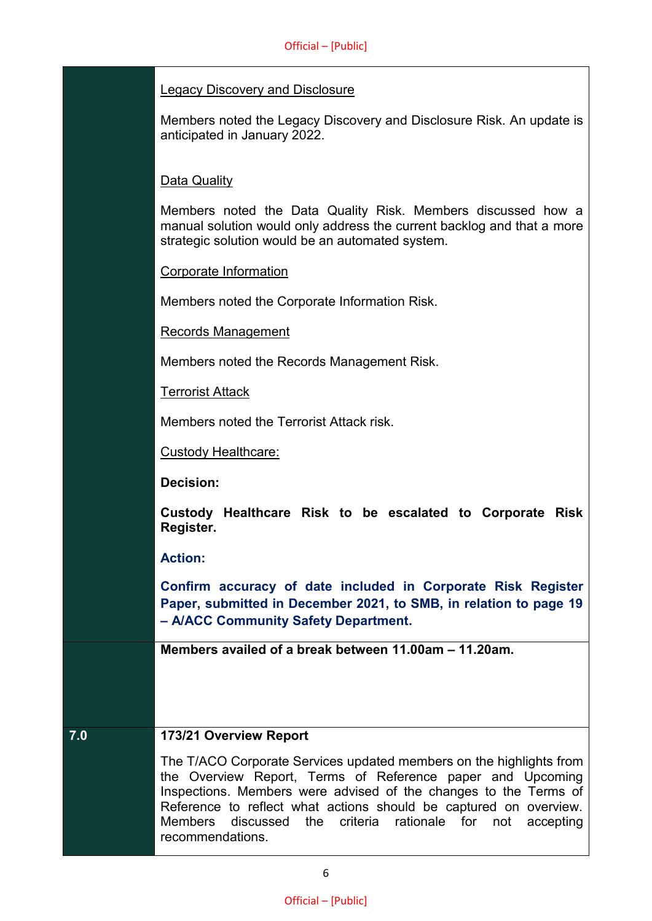## Legacy Discovery and Disclosure

Members noted the Legacy Discovery and Disclosure Risk. An update is anticipated in January 2022.

## Data Quality

Members noted the Data Quality Risk. Members discussed how a manual solution would only address the current backlog and that a more strategic solution would be an automated system.

## Corporate Information

Members noted the Corporate Information Risk.

Records Management

Members noted the Records Management Risk.

Terrorist Attack

Members noted the Terrorist Attack risk.

Custody Healthcare:

**Decision:**

**Custody Healthcare Risk to be escalated to Corporate Risk Register.**

## **Action:**

**Confirm accuracy of date included in Corporate Risk Register Paper, submitted in December 2021, to SMB, in relation to page 19 – A/ACC Community Safety Department.**

**Members availed of a break between 11.00am – 11.20am.**

## **7.0 173/21 Overview Report**

The T/ACO Corporate Services updated members on the highlights from the Overview Report, Terms of Reference paper and Upcoming Inspections. Members were advised of the changes to the Terms of Reference to reflect what actions should be captured on overview. Members discussed the criteria rationale for not accepting recommendations.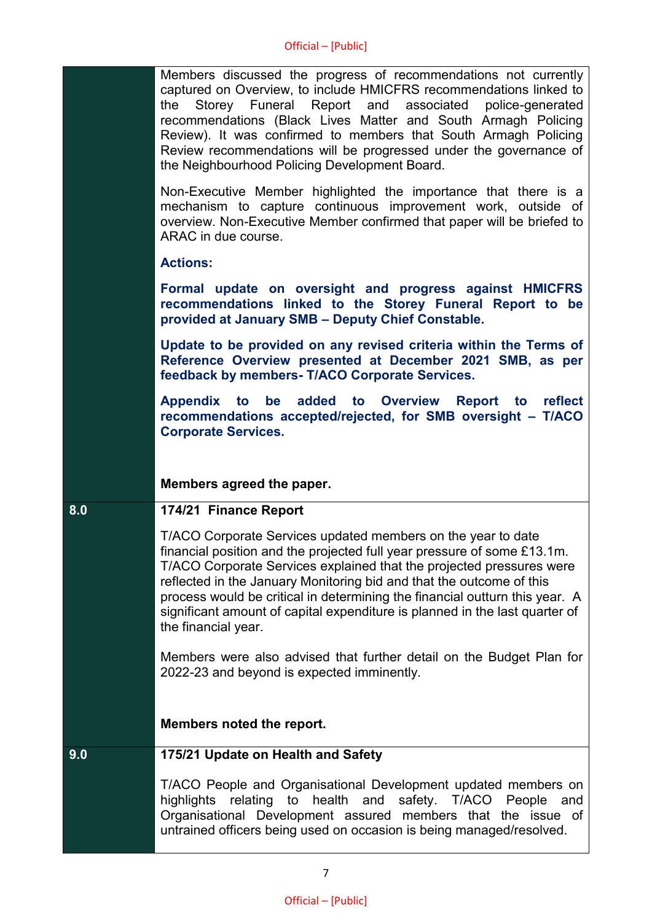|     | Members discussed the progress of recommendations not currently<br>captured on Overview, to include HMICFRS recommendations linked to<br>Storey Funeral Report and associated<br>the<br>police-generated<br>recommendations (Black Lives Matter and South Armagh Policing<br>Review). It was confirmed to members that South Armagh Policing<br>Review recommendations will be progressed under the governance of<br>the Neighbourhood Policing Development Board.           |
|-----|------------------------------------------------------------------------------------------------------------------------------------------------------------------------------------------------------------------------------------------------------------------------------------------------------------------------------------------------------------------------------------------------------------------------------------------------------------------------------|
|     | Non-Executive Member highlighted the importance that there is a<br>mechanism to capture continuous improvement work, outside of<br>overview. Non-Executive Member confirmed that paper will be briefed to<br>ARAC in due course.                                                                                                                                                                                                                                             |
|     | <b>Actions:</b>                                                                                                                                                                                                                                                                                                                                                                                                                                                              |
|     | Formal update on oversight and progress against HMICFRS<br>recommendations linked to the Storey Funeral Report to be<br>provided at January SMB - Deputy Chief Constable.                                                                                                                                                                                                                                                                                                    |
|     | Update to be provided on any revised criteria within the Terms of<br>Reference Overview presented at December 2021 SMB, as per<br>feedback by members- T/ACO Corporate Services.                                                                                                                                                                                                                                                                                             |
|     | Appendix to be added to Overview Report to reflect<br>recommendations accepted/rejected, for SMB oversight - T/ACO<br><b>Corporate Services.</b>                                                                                                                                                                                                                                                                                                                             |
|     |                                                                                                                                                                                                                                                                                                                                                                                                                                                                              |
|     | Members agreed the paper.                                                                                                                                                                                                                                                                                                                                                                                                                                                    |
| 8.0 | 174/21 Finance Report                                                                                                                                                                                                                                                                                                                                                                                                                                                        |
|     | T/ACO Corporate Services updated members on the year to date<br>financial position and the projected full year pressure of some £13.1m.<br>T/ACO Corporate Services explained that the projected pressures were<br>reflected in the January Monitoring bid and that the outcome of this<br>process would be critical in determining the financial outturn this year. A<br>significant amount of capital expenditure is planned in the last quarter of<br>the financial year. |
|     | Members were also advised that further detail on the Budget Plan for<br>2022-23 and beyond is expected imminently.                                                                                                                                                                                                                                                                                                                                                           |
|     | Members noted the report.                                                                                                                                                                                                                                                                                                                                                                                                                                                    |
| 9.0 | 175/21 Update on Health and Safety                                                                                                                                                                                                                                                                                                                                                                                                                                           |
|     | T/ACO People and Organisational Development updated members on<br>relating to health and<br>safety. T/ACO<br>highlights<br>People<br>and<br>Organisational Development assured members that the issue of<br>untrained officers being used on occasion is being managed/resolved.                                                                                                                                                                                             |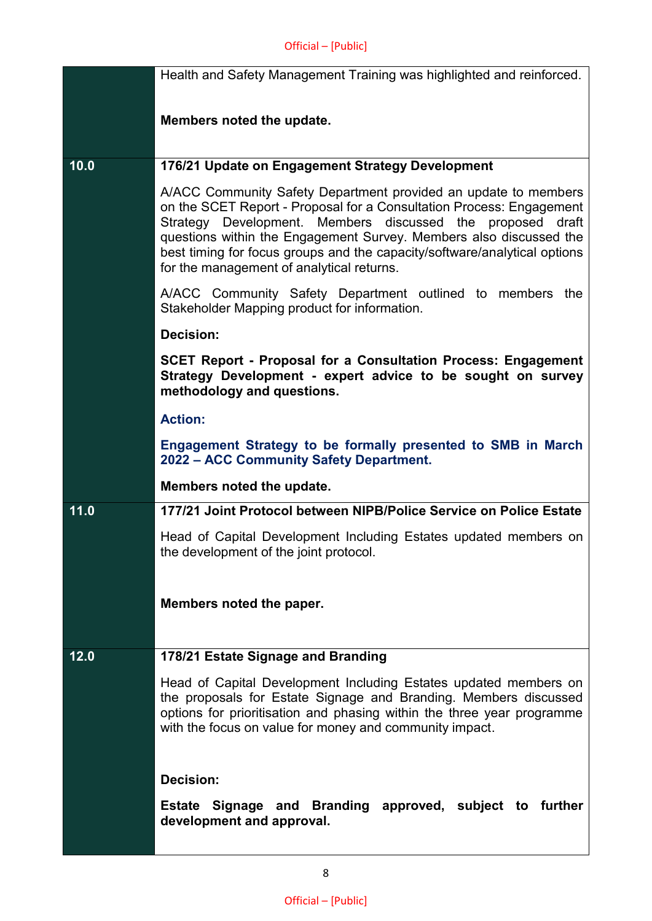|      | Health and Safety Management Training was highlighted and reinforced.                                                                                                                                                                                                                                                                                                                                 |
|------|-------------------------------------------------------------------------------------------------------------------------------------------------------------------------------------------------------------------------------------------------------------------------------------------------------------------------------------------------------------------------------------------------------|
|      | Members noted the update.                                                                                                                                                                                                                                                                                                                                                                             |
|      |                                                                                                                                                                                                                                                                                                                                                                                                       |
| 10.0 | 176/21 Update on Engagement Strategy Development                                                                                                                                                                                                                                                                                                                                                      |
|      | A/ACC Community Safety Department provided an update to members<br>on the SCET Report - Proposal for a Consultation Process: Engagement<br>Strategy Development. Members discussed the proposed draft<br>questions within the Engagement Survey. Members also discussed the<br>best timing for focus groups and the capacity/software/analytical options<br>for the management of analytical returns. |
|      | A/ACC Community Safety Department outlined to members the<br>Stakeholder Mapping product for information.                                                                                                                                                                                                                                                                                             |
|      | <b>Decision:</b>                                                                                                                                                                                                                                                                                                                                                                                      |
|      | <b>SCET Report - Proposal for a Consultation Process: Engagement</b><br>Strategy Development - expert advice to be sought on survey<br>methodology and questions.                                                                                                                                                                                                                                     |
|      | <b>Action:</b>                                                                                                                                                                                                                                                                                                                                                                                        |
|      | Engagement Strategy to be formally presented to SMB in March<br>2022 - ACC Community Safety Department.                                                                                                                                                                                                                                                                                               |
|      | Members noted the update.                                                                                                                                                                                                                                                                                                                                                                             |
| 11.0 | 177/21 Joint Protocol between NIPB/Police Service on Police Estate                                                                                                                                                                                                                                                                                                                                    |
|      | Head of Capital Development Including Estates updated members on<br>the development of the joint protocol.                                                                                                                                                                                                                                                                                            |
|      |                                                                                                                                                                                                                                                                                                                                                                                                       |
|      | Members noted the paper.                                                                                                                                                                                                                                                                                                                                                                              |
|      |                                                                                                                                                                                                                                                                                                                                                                                                       |
| 12.0 | 178/21 Estate Signage and Branding                                                                                                                                                                                                                                                                                                                                                                    |
|      | Head of Capital Development Including Estates updated members on<br>the proposals for Estate Signage and Branding. Members discussed<br>options for prioritisation and phasing within the three year programme<br>with the focus on value for money and community impact.                                                                                                                             |
|      | <b>Decision:</b>                                                                                                                                                                                                                                                                                                                                                                                      |
|      | Estate Signage and Branding approved, subject to further<br>development and approval.                                                                                                                                                                                                                                                                                                                 |